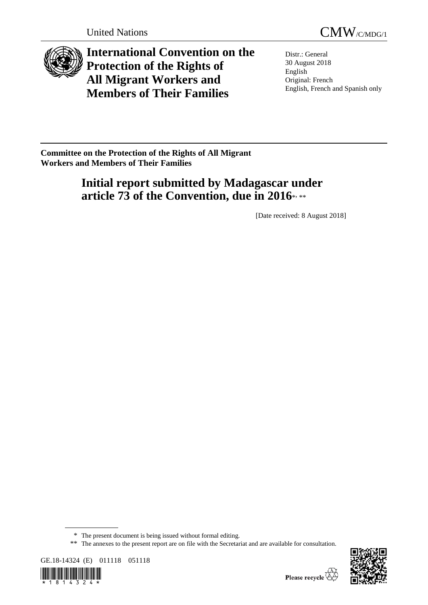



**International Convention on the Protection of the Rights of All Migrant Workers and Members of Their Families**

Distr.: General 30 August 2018 English Original: French English, French and Spanish only

**Committee on the Protection of the Rights of All Migrant Workers and Members of Their Families**

# **Initial report submitted by Madagascar under article 73 of the Convention, due in 2016**\* , \*\*

[Date received: 8 August 2018]

<sup>\*\*</sup> The annexes to the present report are on file with the Secretariat and are available for consultation.







<sup>\*</sup> The present document is being issued without formal editing.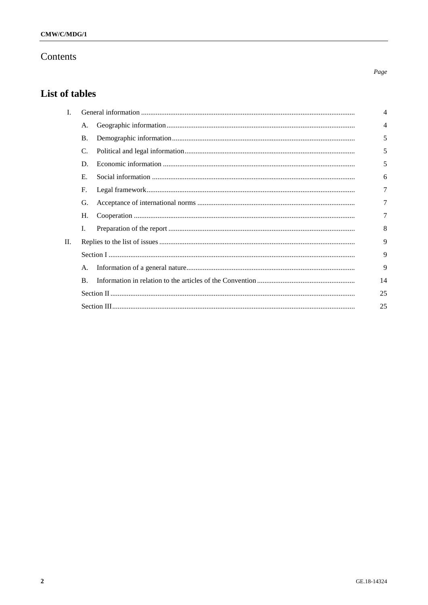# Contents

# List of tables

| I. |            | 4  |
|----|------------|----|
|    | А.         | 4  |
|    | <b>B.</b>  | 5  |
|    | C.         | 5  |
|    | D.         | 5  |
|    | Е.         | 6  |
|    | F.         | 7  |
|    | G.         |    |
|    | Н.         | 7  |
|    | I.         | 8  |
| П. |            | 9  |
|    |            | 9  |
|    | А.         | 9  |
|    | $\bf{B}$ . | 14 |
|    |            | 25 |
|    |            | 25 |

 $Page$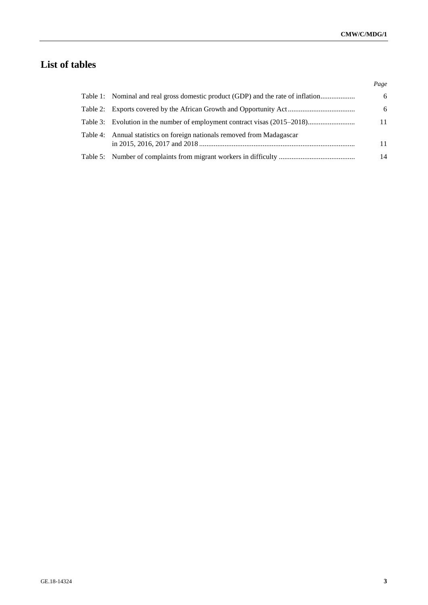# **List of tables**

|                                                                                  | Page |
|----------------------------------------------------------------------------------|------|
| Table 1: Nominal and real gross domestic product (GDP) and the rate of inflation | 6    |
|                                                                                  | 6    |
| Table 3: Evolution in the number of employment contract visas (2015–2018)        | 11   |
| Table 4: Annual statistics on foreign nationals removed from Madagascar          | 11   |
|                                                                                  | 14   |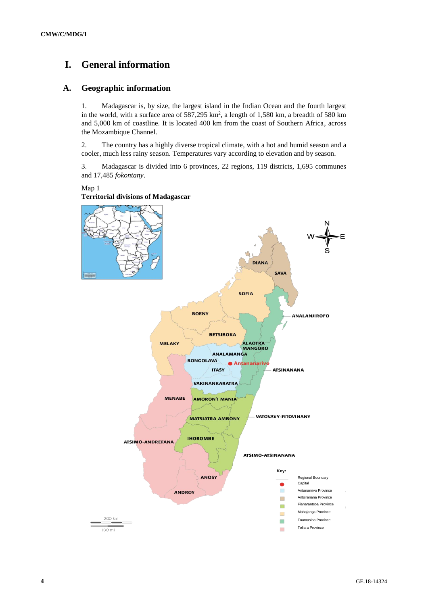# **I. General information**

# **A. Geographic information**

1. Madagascar is, by size, the largest island in the Indian Ocean and the fourth largest in the world, with a surface area of  $587,295 \text{ km}^2$ , a length of 1,580 km, a breadth of 580 km and 5,000 km of coastline. It is located 400 km from the coast of Southern Africa, across the Mozambique Channel.

2. The country has a highly diverse tropical climate, with a hot and humid season and a cooler, much less rainy season. Temperatures vary according to elevation and by season.

3. Madagascar is divided into 6 provinces, 22 regions, 119 districts, 1,695 communes and 17,485 *fokontany*.

Map 1



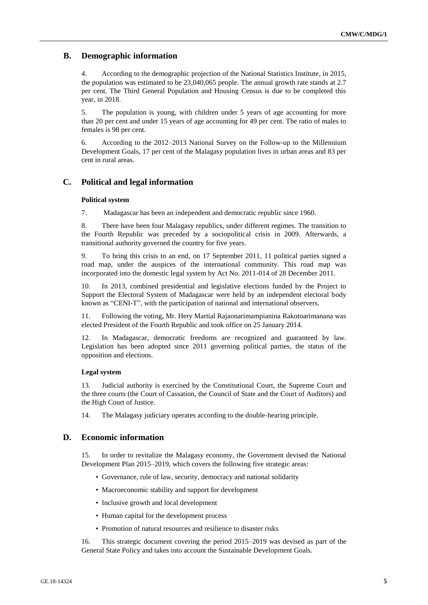# **B. Demographic information**

4. According to the demographic projection of the National Statistics Institute, in 2015, the population was estimated to be 23,040,065 people. The annual growth rate stands at 2.7 per cent. The Third General Population and Housing Census is due to be completed this year, in 2018.

5. The population is young, with children under 5 years of age accounting for more than 20 per cent and under 15 years of age accounting for 49 per cent. The ratio of males to females is 98 per cent.

6. According to the 2012–2013 National Survey on the Follow-up to the Millennium Development Goals, 17 per cent of the Malagasy population lives in urban areas and 83 per cent in rural areas.

# **C. Political and legal information**

### **Political system**

7. Madagascar has been an independent and democratic republic since 1960.

8. There have been four Malagasy republics, under different regimes. The transition to the Fourth Republic was preceded by a sociopolitical crisis in 2009. Afterwards, a transitional authority governed the country for five years.

9. To bring this crisis to an end, on 17 September 2011, 11 political parties signed a road map, under the auspices of the international community. This road map was incorporated into the domestic legal system by Act No. 2011-014 of 28 December 2011.

In 2013, combined presidential and legislative elections funded by the Project to Support the Electoral System of Madagascar were held by an independent electoral body known as "CENI-T", with the participation of national and international observers.

11. Following the voting, Mr. Hery Martial Rajaonarimampianina Rakotoarimanana was elected President of the Fourth Republic and took office on 25 January 2014.

12. In Madagascar, democratic freedoms are recognized and guaranteed by law. Legislation has been adopted since 2011 governing political parties, the status of the opposition and elections.

## **Legal system**

13. Judicial authority is exercised by the Constitutional Court, the Supreme Court and the three courts (the Court of Cassation, the Council of State and the Court of Auditors) and the High Court of Justice.

14. The Malagasy judiciary operates according to the double-hearing principle.

## **D. Economic information**

15. In order to revitalize the Malagasy economy, the Government devised the National Development Plan 2015–2019, which covers the following five strategic areas:

- Governance, rule of law, security, democracy and national solidarity
- Macroeconomic stability and support for development
- Inclusive growth and local development
- Human capital for the development process
- Promotion of natural resources and resilience to disaster risks

16. This strategic document covering the period 2015–2019 was devised as part of the General State Policy and takes into account the Sustainable Development Goals.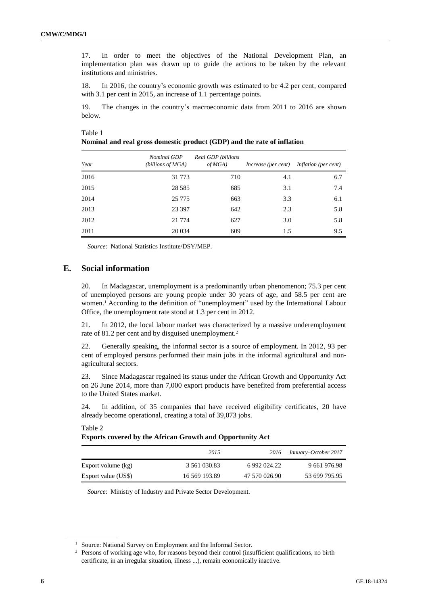17. In order to meet the objectives of the National Development Plan, an implementation plan was drawn up to guide the actions to be taken by the relevant institutions and ministries.

18. In 2016, the country's economic growth was estimated to be 4.2 per cent, compared with 3.1 per cent in 2015, an increase of 1.1 percentage points.

19. The changes in the country's macroeconomic data from 2011 to 2016 are shown below.

|         | Nominal and real gross domestic product (GDP) and the rate of inflation |  |
|---------|-------------------------------------------------------------------------|--|
| Table 1 |                                                                         |  |

| Year | Nominal GDP<br>(billions of MGA) | Real GDP (billions<br>$of MGA$ ) | Increase (per cent) | Inflation (per cent) |
|------|----------------------------------|----------------------------------|---------------------|----------------------|
| 2016 | 31 7 7 3                         | 710                              | 4.1                 | 6.7                  |
| 2015 | 28 5 8 5                         | 685                              | 3.1                 | 7.4                  |
| 2014 | 25 7 7 5                         | 663                              | 3.3                 | 6.1                  |
| 2013 | 23 397                           | 642                              | 2.3                 | 5.8                  |
| 2012 | 21 7 7 4                         | 627                              | 3.0                 | 5.8                  |
| 2011 | 20 0 34                          | 609                              | 1.5                 | 9.5                  |

*Source*: National Statistics Institute/DSY/MEP.

## **E. Social information**

20. In Madagascar, unemployment is a predominantly urban phenomenon; 75.3 per cent of unemployed persons are young people under 30 years of age, and 58.5 per cent are women.<sup>1</sup> According to the definition of "unemployment" used by the International Labour Office, the unemployment rate stood at 1.3 per cent in 2012.

21. In 2012, the local labour market was characterized by a massive underemployment rate of 81.2 per cent and by disguised unemployment.<sup>2</sup>

22. Generally speaking, the informal sector is a source of employment. In 2012, 93 per cent of employed persons performed their main jobs in the informal agricultural and nonagricultural sectors.

23. Since Madagascar regained its status under the African Growth and Opportunity Act on 26 June 2014, more than 7,000 export products have benefited from preferential access to the United States market.

24. In addition, of 35 companies that have received eligibility certificates, 20 have already become operational, creating a total of 39,073 jobs.

|                     | 2015          | 2016          | January–October 2017 |
|---------------------|---------------|---------------|----------------------|
| Export volume (kg)  | 3 561 030.83  | 6 992 024.22  | 9 661 976.98         |
| Export value (US\$) | 16 569 193.89 | 47 570 026.90 | 53 699 795.95        |

#### Table 2 **Exports covered by the African Growth and Opportunity Act**

*Source*: Ministry of Industry and Private Sector Development.

<sup>&</sup>lt;sup>1</sup> Source: National Survey on Employment and the Informal Sector.

<sup>2</sup> Persons of working age who, for reasons beyond their control (insufficient qualifications, no birth certificate, in an irregular situation, illness ...), remain economically inactive.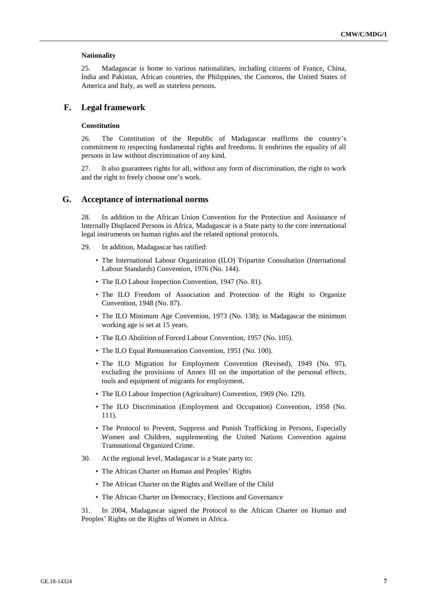#### **Nationality**

25. Madagascar is home to various nationalities, including citizens of France, China, India and Pakistan, African countries, the Philippines, the Comoros, the United States of America and Italy, as well as stateless persons.

## **F. Legal framework**

### **Constitution**

26. The Constitution of the Republic of Madagascar reaffirms the country's commitment to respecting fundamental rights and freedoms. It enshrines the equality of all persons in law without discrimination of any kind.

27. It also guarantees rights for all, without any form of discrimination, the right to work and the right to freely choose one's work.

## **G. Acceptance of international norms**

28. In addition to the African Union Convention for the Protection and Assistance of Internally Displaced Persons in Africa, Madagascar is a State party to the core international legal instruments on human rights and the related optional protocols.

- 29. In addition, Madagascar has ratified:
	- The International Labour Organization (ILO) Tripartite Consultation (International Labour Standards) Convention, 1976 (No. 144).
	- The ILO Labour Inspection Convention, 1947 (No. 81).
	- The ILO Freedom of Association and Protection of the Right to Organize Convention, 1948 (No. 87).
	- The ILO Minimum Age Convention, 1973 (No. 138); in Madagascar the minimum working age is set at 15 years.
	- The ILO Abolition of Forced Labour Convention, 1957 (No. 105).
	- The ILO Equal Remuneration Convention, 1951 (No. 100).
	- The ILO Migration for Employment Convention (Revised), 1949 (No. 97), excluding the provisions of Annex III on the importation of the personal effects, tools and equipment of migrants for employment.
	- The ILO Labour Inspection (Agriculture) Convention, 1969 (No. 129).
	- The ILO Discrimination (Employment and Occupation) Convention, 1958 (No. 111).
	- The Protocol to Prevent, Suppress and Punish Trafficking in Persons, Especially Women and Children, supplementing the United Nations Convention against Transnational Organized Crime.
- 30. At the regional level, Madagascar is a State party to:
	- The African Charter on Human and Peoples' Rights
	- The African Charter on the Rights and Welfare of the Child
	- The African Charter on Democracy, Elections and Governance

31. In 2004, Madagascar signed the Protocol to the African Charter on Human and Peoples' Rights on the Rights of Women in Africa.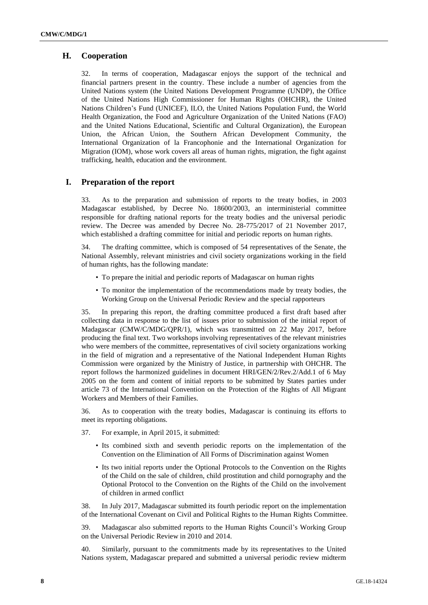# **H. Cooperation**

32. In terms of cooperation, Madagascar enjoys the support of the technical and financial partners present in the country. These include a number of agencies from the United Nations system (the United Nations Development Programme (UNDP), the Office of the United Nations High Commissioner for Human Rights (OHCHR), the United Nations Children's Fund (UNICEF), ILO, the United Nations Population Fund, the World Health Organization, the Food and Agriculture Organization of the United Nations (FAO) and the United Nations Educational, Scientific and Cultural Organization), the European Union, the African Union, the Southern African Development Community, the International Organization of la Francophonie and the International Organization for Migration (IOM), whose work covers all areas of human rights, migration, the fight against trafficking, health, education and the environment.

# **I. Preparation of the report**

33. As to the preparation and submission of reports to the treaty bodies, in 2003 Madagascar established, by Decree No. 18600/2003, an interministerial committee responsible for drafting national reports for the treaty bodies and the universal periodic review. The Decree was amended by Decree No. 28-775/2017 of 21 November 2017, which established a drafting committee for initial and periodic reports on human rights.

34. The drafting committee, which is composed of 54 representatives of the Senate, the National Assembly, relevant ministries and civil society organizations working in the field of human rights, has the following mandate:

- To prepare the initial and periodic reports of Madagascar on human rights
- To monitor the implementation of the recommendations made by treaty bodies, the Working Group on the Universal Periodic Review and the special rapporteurs

35. In preparing this report, the drafting committee produced a first draft based after collecting data in response to the list of issues prior to submission of the initial report of Madagascar (CMW/C/MDG/QPR/1), which was transmitted on 22 May 2017, before producing the final text. Two workshops involving representatives of the relevant ministries who were members of the committee, representatives of civil society organizations working in the field of migration and a representative of the National Independent Human Rights Commission were organized by the Ministry of Justice, in partnership with OHCHR. The report follows the harmonized guidelines in document HRI/GEN/2/Rev.2/Add.1 of 6 May 2005 on the form and content of initial reports to be submitted by States parties under article 73 of the International Convention on the Protection of the Rights of All Migrant Workers and Members of their Families.

36. As to cooperation with the treaty bodies, Madagascar is continuing its efforts to meet its reporting obligations.

- 37. For example, in April 2015, it submitted:
	- Its combined sixth and seventh periodic reports on the implementation of the Convention on the Elimination of All Forms of Discrimination against Women
	- Its two initial reports under the Optional Protocols to the Convention on the Rights of the Child on the sale of children, child prostitution and child pornography and the Optional Protocol to the Convention on the Rights of the Child on the involvement of children in armed conflict

38. In July 2017, Madagascar submitted its fourth periodic report on the implementation of the International Covenant on Civil and Political Rights to the Human Rights Committee.

39. Madagascar also submitted reports to the Human Rights Council's Working Group on the Universal Periodic Review in 2010 and 2014.

40. Similarly, pursuant to the commitments made by its representatives to the United Nations system, Madagascar prepared and submitted a universal periodic review midterm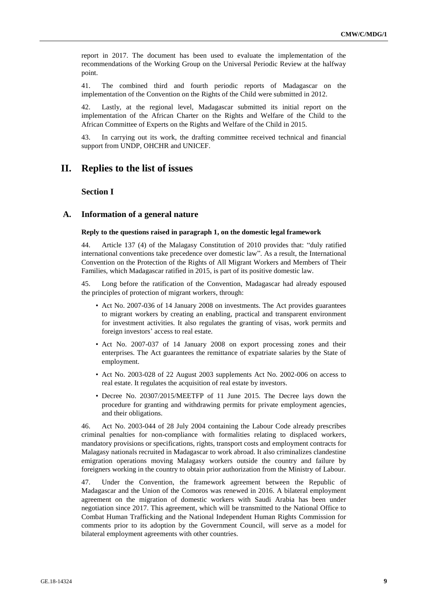report in 2017. The document has been used to evaluate the implementation of the recommendations of the Working Group on the Universal Periodic Review at the halfway point.

41. The combined third and fourth periodic reports of Madagascar on the implementation of the Convention on the Rights of the Child were submitted in 2012.

42. Lastly, at the regional level, Madagascar submitted its initial report on the implementation of the African Charter on the Rights and Welfare of the Child to the African Committee of Experts on the Rights and Welfare of the Child in 2015.

43. In carrying out its work, the drafting committee received technical and financial support from UNDP, OHCHR and UNICEF.

# **II. Replies to the list of issues**

## **Section I**

## **A. Information of a general nature**

## **Reply to the questions raised in paragraph 1, on the domestic legal framework**

44. Article 137 (4) of the Malagasy Constitution of 2010 provides that: "duly ratified international conventions take precedence over domestic law". As a result, the International Convention on the Protection of the Rights of All Migrant Workers and Members of Their Families, which Madagascar ratified in 2015, is part of its positive domestic law.

45. Long before the ratification of the Convention, Madagascar had already espoused the principles of protection of migrant workers, through:

- Act No. 2007-036 of 14 January 2008 on investments. The Act provides guarantees to migrant workers by creating an enabling, practical and transparent environment for investment activities. It also regulates the granting of visas, work permits and foreign investors' access to real estate.
- Act No. 2007-037 of 14 January 2008 on export processing zones and their enterprises. The Act guarantees the remittance of expatriate salaries by the State of employment.
- Act No. 2003-028 of 22 August 2003 supplements Act No. 2002-006 on access to real estate. It regulates the acquisition of real estate by investors.
- Decree No. 20307/2015/MEETFP of 11 June 2015. The Decree lays down the procedure for granting and withdrawing permits for private employment agencies, and their obligations.

46. Act No. 2003-044 of 28 July 2004 containing the Labour Code already prescribes criminal penalties for non-compliance with formalities relating to displaced workers, mandatory provisions or specifications, rights, transport costs and employment contracts for Malagasy nationals recruited in Madagascar to work abroad. It also criminalizes clandestine emigration operations moving Malagasy workers outside the country and failure by foreigners working in the country to obtain prior authorization from the Ministry of Labour.

47. Under the Convention, the framework agreement between the Republic of Madagascar and the Union of the Comoros was renewed in 2016. A bilateral employment agreement on the migration of domestic workers with Saudi Arabia has been under negotiation since 2017. This agreement, which will be transmitted to the National Office to Combat Human Trafficking and the National Independent Human Rights Commission for comments prior to its adoption by the Government Council, will serve as a model for bilateral employment agreements with other countries.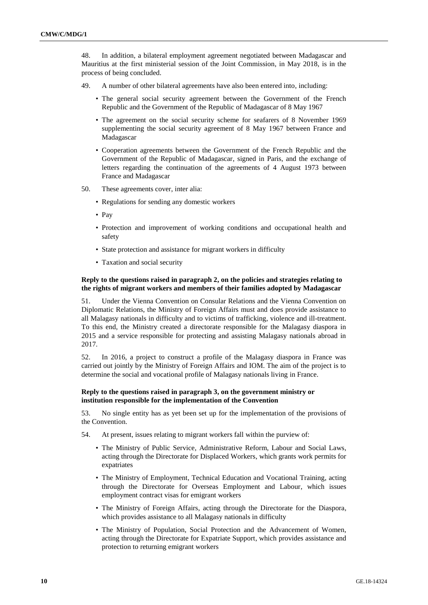48. In addition, a bilateral employment agreement negotiated between Madagascar and Mauritius at the first ministerial session of the Joint Commission, in May 2018, is in the process of being concluded.

- 49. A number of other bilateral agreements have also been entered into, including:
	- The general social security agreement between the Government of the French Republic and the Government of the Republic of Madagascar of 8 May 1967
	- The agreement on the social security scheme for seafarers of 8 November 1969 supplementing the social security agreement of 8 May 1967 between France and Madagascar
	- Cooperation agreements between the Government of the French Republic and the Government of the Republic of Madagascar, signed in Paris, and the exchange of letters regarding the continuation of the agreements of 4 August 1973 between France and Madagascar
- 50. These agreements cover, inter alia:
	- Regulations for sending any domestic workers
	- Pay
	- Protection and improvement of working conditions and occupational health and safety
	- State protection and assistance for migrant workers in difficulty
	- Taxation and social security

## **Reply to the questions raised in paragraph 2, on the policies and strategies relating to the rights of migrant workers and members of their families adopted by Madagascar**

51. Under the Vienna Convention on Consular Relations and the Vienna Convention on Diplomatic Relations, the Ministry of Foreign Affairs must and does provide assistance to all Malagasy nationals in difficulty and to victims of trafficking, violence and ill-treatment. To this end, the Ministry created a directorate responsible for the Malagasy diaspora in 2015 and a service responsible for protecting and assisting Malagasy nationals abroad in 2017.

52. In 2016, a project to construct a profile of the Malagasy diaspora in France was carried out jointly by the Ministry of Foreign Affairs and IOM. The aim of the project is to determine the social and vocational profile of Malagasy nationals living in France.

### **Reply to the questions raised in paragraph 3, on the government ministry or institution responsible for the implementation of the Convention**

53. No single entity has as yet been set up for the implementation of the provisions of the Convention.

54. At present, issues relating to migrant workers fall within the purview of:

- The Ministry of Public Service, Administrative Reform, Labour and Social Laws, acting through the Directorate for Displaced Workers, which grants work permits for expatriates
- The Ministry of Employment, Technical Education and Vocational Training, acting through the Directorate for Overseas Employment and Labour, which issues employment contract visas for emigrant workers
- The Ministry of Foreign Affairs, acting through the Directorate for the Diaspora, which provides assistance to all Malagasy nationals in difficulty
- The Ministry of Population, Social Protection and the Advancement of Women, acting through the Directorate for Expatriate Support, which provides assistance and protection to returning emigrant workers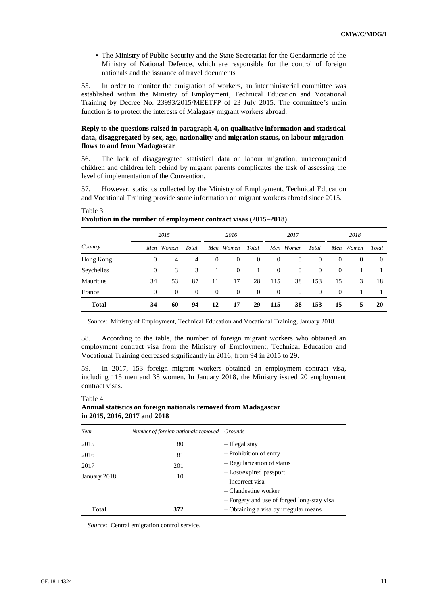• The Ministry of Public Security and the State Secretariat for the Gendarmerie of the Ministry of National Defence, which are responsible for the control of foreign nationals and the issuance of travel documents

55. In order to monitor the emigration of workers, an interministerial committee was established within the Ministry of Employment, Technical Education and Vocational Training by Decree No. 23993/2015/MEETFP of 23 July 2015. The committee's main function is to protect the interests of Malagasy migrant workers abroad.

## **Reply to the questions raised in paragraph 4, on qualitative information and statistical data, disaggregated by sex, age, nationality and migration status, on labour migration flows to and from Madagascar**

56. The lack of disaggregated statistical data on labour migration, unaccompanied children and children left behind by migrant parents complicates the task of assessing the level of implementation of the Convention.

57. However, statistics collected by the Ministry of Employment, Technical Education and Vocational Training provide some information on migrant workers abroad since 2015.

|              | 2015     |           | 2016     |          | 2017      |                | 2018     |                |          |          |          |       |
|--------------|----------|-----------|----------|----------|-----------|----------------|----------|----------------|----------|----------|----------|-------|
| Country      |          | Men Women | Total    |          | Men Women | Total          |          | Men Women      | Total    | Men      | Women    | Total |
| Hong Kong    | $\theta$ | 4         | 4        | $\theta$ | $\theta$  | $\overline{0}$ | $\theta$ | $\overline{0}$ | $\theta$ | $\theta$ | $\theta$ | 0     |
| Seychelles   | $\theta$ | 3         | 3        |          | $\theta$  |                | $\theta$ | $\overline{0}$ | $\theta$ | $\theta$ |          |       |
| Mauritius    | 34       | 53        | 87       | 11       | 17        | 28             | 115      | 38             | 153      | 15       | 3        | 18    |
| France       | $\theta$ | $\theta$  | $\theta$ | $\theta$ | $\theta$  | $\overline{0}$ | $\theta$ | $\overline{0}$ | $\theta$ | $\theta$ |          |       |
| <b>Total</b> | 34       | 60        | 94       | 12       | 17        | 29             | 115      | 38             | 153      | 15       | 5        | 20    |

#### **Evolution in the number of employment contract visas (2015–2018)**

Table 3

Table 4

*Source*: Ministry of Employment, Technical Education and Vocational Training, January 2018.

58. According to the table, the number of foreign migrant workers who obtained an employment contract visa from the Ministry of Employment, Technical Education and Vocational Training decreased significantly in 2016, from 94 in 2015 to 29.

59. In 2017, 153 foreign migrant workers obtained an employment contract visa, including 115 men and 38 women. In January 2018, the Ministry issued 20 employment contract visas.

#### *Year Number of foreign nationals removed Grounds* 2015 80 – Illegal stay – Prohibition of entry – Regularization of status – Lost/expired passport – Incorrect visa – Clandestine worker – Forgery and use of forged long-stay visa – Obtaining a visa by irregular means 2016 81 2017 201 January 2018 10 **Total 372**

# **Annual statistics on foreign nationals removed from Madagascar in 2015, 2016, 2017 and 2018**

*Source*: Central emigration control service.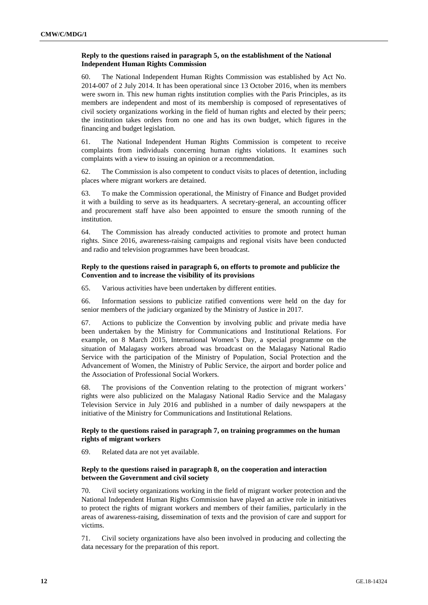## **Reply to the questions raised in paragraph 5, on the establishment of the National Independent Human Rights Commission**

60. The National Independent Human Rights Commission was established by Act No. 2014-007 of 2 July 2014. It has been operational since 13 October 2016, when its members were sworn in. This new human rights institution complies with the Paris Principles, as its members are independent and most of its membership is composed of representatives of civil society organizations working in the field of human rights and elected by their peers; the institution takes orders from no one and has its own budget, which figures in the financing and budget legislation.

61. The National Independent Human Rights Commission is competent to receive complaints from individuals concerning human rights violations. It examines such complaints with a view to issuing an opinion or a recommendation.

62. The Commission is also competent to conduct visits to places of detention, including places where migrant workers are detained.

63. To make the Commission operational, the Ministry of Finance and Budget provided it with a building to serve as its headquarters. A secretary-general, an accounting officer and procurement staff have also been appointed to ensure the smooth running of the institution.

64. The Commission has already conducted activities to promote and protect human rights. Since 2016, awareness-raising campaigns and regional visits have been conducted and radio and television programmes have been broadcast.

## **Reply to the questions raised in paragraph 6, on efforts to promote and publicize the Convention and to increase the visibility of its provisions**

65. Various activities have been undertaken by different entities.

66. Information sessions to publicize ratified conventions were held on the day for senior members of the judiciary organized by the Ministry of Justice in 2017.

67. Actions to publicize the Convention by involving public and private media have been undertaken by the Ministry for Communications and Institutional Relations. For example, on 8 March 2015, International Women's Day, a special programme on the situation of Malagasy workers abroad was broadcast on the Malagasy National Radio Service with the participation of the Ministry of Population, Social Protection and the Advancement of Women, the Ministry of Public Service, the airport and border police and the Association of Professional Social Workers.

68. The provisions of the Convention relating to the protection of migrant workers' rights were also publicized on the Malagasy National Radio Service and the Malagasy Television Service in July 2016 and published in a number of daily newspapers at the initiative of the Ministry for Communications and Institutional Relations.

## **Reply to the questions raised in paragraph 7, on training programmes on the human rights of migrant workers**

69. Related data are not yet available.

## **Reply to the questions raised in paragraph 8, on the cooperation and interaction between the Government and civil society**

70. Civil society organizations working in the field of migrant worker protection and the National Independent Human Rights Commission have played an active role in initiatives to protect the rights of migrant workers and members of their families, particularly in the areas of awareness-raising, dissemination of texts and the provision of care and support for victims.

71. Civil society organizations have also been involved in producing and collecting the data necessary for the preparation of this report.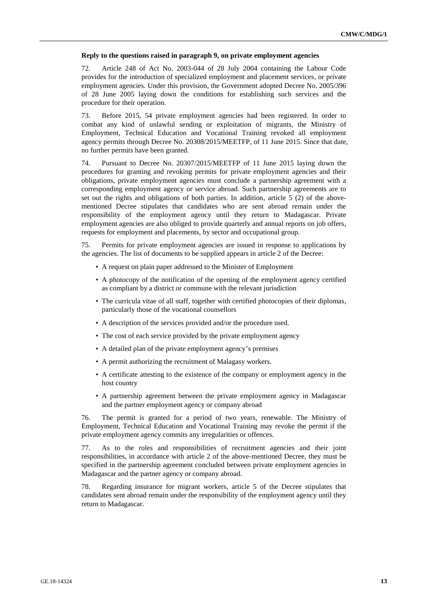### **Reply to the questions raised in paragraph 9, on private employment agencies**

72. Article 248 of Act No. 2003-044 of 28 July 2004 containing the Labour Code provides for the introduction of specialized employment and placement services, or private employment agencies. Under this provision, the Government adopted Decree No. 2005/396 of 28 June 2005 laying down the conditions for establishing such services and the procedure for their operation.

73. Before 2015, 54 private employment agencies had been registered. In order to combat any kind of unlawful sending or exploitation of migrants, the Ministry of Employment, Technical Education and Vocational Training revoked all employment agency permits through Decree No. 20308/2015/MEETFP, of 11 June 2015. Since that date, no further permits have been granted.

74. Pursuant to Decree No. 20307/2015/MEETFP of 11 June 2015 laying down the procedures for granting and revoking permits for private employment agencies and their obligations, private employment agencies must conclude a partnership agreement with a corresponding employment agency or service abroad. Such partnership agreements are to set out the rights and obligations of both parties. In addition, article 5 (2) of the abovementioned Decree stipulates that candidates who are sent abroad remain under the responsibility of the employment agency until they return to Madagascar. Private employment agencies are also obliged to provide quarterly and annual reports on job offers, requests for employment and placements, by sector and occupational group.

75. Permits for private employment agencies are issued in response to applications by the agencies. The list of documents to be supplied appears in article 2 of the Decree:

- A request on plain paper addressed to the Minister of Employment
- A photocopy of the notification of the opening of the employment agency certified as compliant by a district or commune with the relevant jurisdiction
- The curricula vitae of all staff, together with certified photocopies of their diplomas, particularly those of the vocational counsellors
- A description of the services provided and/or the procedure used.
- The cost of each service provided by the private employment agency
- A detailed plan of the private employment agency's premises
- A permit authorizing the recruitment of Malagasy workers.
- A certificate attesting to the existence of the company or employment agency in the host country
- A partnership agreement between the private employment agency in Madagascar and the partner employment agency or company abroad

76. The permit is granted for a period of two years, renewable. The Ministry of Employment, Technical Education and Vocational Training may revoke the permit if the private employment agency commits any irregularities or offences.

77. As to the roles and responsibilities of recruitment agencies and their joint responsibilities, in accordance with article 2 of the above-mentioned Decree, they must be specified in the partnership agreement concluded between private employment agencies in Madagascar and the partner agency or company abroad.

78. Regarding insurance for migrant workers, article 5 of the Decree stipulates that candidates sent abroad remain under the responsibility of the employment agency until they return to Madagascar.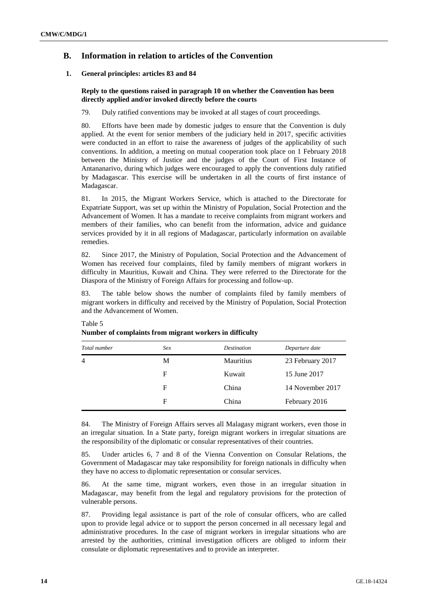# **B. Information in relation to articles of the Convention**

## **1. General principles: articles 83 and 84**

## **Reply to the questions raised in paragraph 10 on whether the Convention has been directly applied and/or invoked directly before the courts**

79. Duly ratified conventions may be invoked at all stages of court proceedings.

80. Efforts have been made by domestic judges to ensure that the Convention is duly applied. At the event for senior members of the judiciary held in 2017, specific activities were conducted in an effort to raise the awareness of judges of the applicability of such conventions. In addition, a meeting on mutual cooperation took place on 1 February 2018 between the Ministry of Justice and the judges of the Court of First Instance of Antananarivo, during which judges were encouraged to apply the conventions duly ratified by Madagascar. This exercise will be undertaken in all the courts of first instance of Madagascar.

81. In 2015, the Migrant Workers Service, which is attached to the Directorate for Expatriate Support, was set up within the Ministry of Population, Social Protection and the Advancement of Women. It has a mandate to receive complaints from migrant workers and members of their families, who can benefit from the information, advice and guidance services provided by it in all regions of Madagascar, particularly information on available remedies.

82. Since 2017, the Ministry of Population, Social Protection and the Advancement of Women has received four complaints, filed by family members of migrant workers in difficulty in Mauritius, Kuwait and China. They were referred to the Directorate for the Diaspora of the Ministry of Foreign Affairs for processing and follow-up.

83. The table below shows the number of complaints filed by family members of migrant workers in difficulty and received by the Ministry of Population, Social Protection and the Advancement of Women.

| Total number   | Sex | <b>Destination</b> | Departure date   |
|----------------|-----|--------------------|------------------|
| $\overline{4}$ | М   | <b>Mauritius</b>   | 23 February 2017 |
|                | F   | Kuwait             | 15 June 2017     |
|                | F   | China              | 14 November 2017 |
|                | F   | China              | February 2016    |

#### Table 5 **Number of complaints from migrant workers in difficulty**

84. The Ministry of Foreign Affairs serves all Malagasy migrant workers, even those in an irregular situation. In a State party, foreign migrant workers in irregular situations are the responsibility of the diplomatic or consular representatives of their countries.

85. Under articles 6, 7 and 8 of the Vienna Convention on Consular Relations, the Government of Madagascar may take responsibility for foreign nationals in difficulty when they have no access to diplomatic representation or consular services.

86. At the same time, migrant workers, even those in an irregular situation in Madagascar, may benefit from the legal and regulatory provisions for the protection of vulnerable persons.

87. Providing legal assistance is part of the role of consular officers, who are called upon to provide legal advice or to support the person concerned in all necessary legal and administrative procedures. In the case of migrant workers in irregular situations who are arrested by the authorities, criminal investigation officers are obliged to inform their consulate or diplomatic representatives and to provide an interpreter.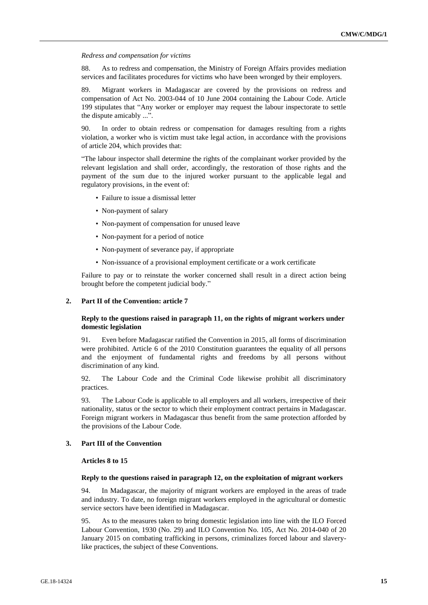### *Redress and compensation for victims*

88. As to redress and compensation, the Ministry of Foreign Affairs provides mediation services and facilitates procedures for victims who have been wronged by their employers.

89. Migrant workers in Madagascar are covered by the provisions on redress and compensation of Act No. 2003-044 of 10 June 2004 containing the Labour Code. Article 199 stipulates that "Any worker or employer may request the labour inspectorate to settle the dispute amicably ...".

90. In order to obtain redress or compensation for damages resulting from a rights violation, a worker who is victim must take legal action, in accordance with the provisions of article 204, which provides that:

"The labour inspector shall determine the rights of the complainant worker provided by the relevant legislation and shall order, accordingly, the restoration of those rights and the payment of the sum due to the injured worker pursuant to the applicable legal and regulatory provisions, in the event of:

- Failure to issue a dismissal letter
- Non-payment of salary
- Non-payment of compensation for unused leave
- Non-payment for a period of notice
- Non-payment of severance pay, if appropriate
- Non-issuance of a provisional employment certificate or a work certificate

Failure to pay or to reinstate the worker concerned shall result in a direct action being brought before the competent judicial body."

## **2. Part II of the Convention: article 7**

## **Reply to the questions raised in paragraph 11, on the rights of migrant workers under domestic legislation**

91. Even before Madagascar ratified the Convention in 2015, all forms of discrimination were prohibited. Article 6 of the 2010 Constitution guarantees the equality of all persons and the enjoyment of fundamental rights and freedoms by all persons without discrimination of any kind.

92. The Labour Code and the Criminal Code likewise prohibit all discriminatory practices.

93. The Labour Code is applicable to all employers and all workers, irrespective of their nationality, status or the sector to which their employment contract pertains in Madagascar. Foreign migrant workers in Madagascar thus benefit from the same protection afforded by the provisions of the Labour Code.

## **3. Part III of the Convention**

## **Articles 8 to 15**

## **Reply to the questions raised in paragraph 12, on the exploitation of migrant workers**

94. In Madagascar, the majority of migrant workers are employed in the areas of trade and industry. To date, no foreign migrant workers employed in the agricultural or domestic service sectors have been identified in Madagascar.

95. As to the measures taken to bring domestic legislation into line with the ILO Forced Labour Convention, 1930 (No. 29) and ILO Convention No. 105, Act No. 2014-040 of 20 January 2015 on combating trafficking in persons, criminalizes forced labour and slaverylike practices, the subject of these Conventions.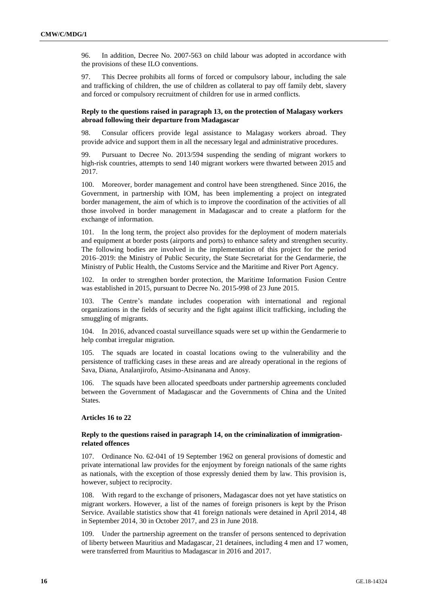96. In addition, Decree No. 2007-563 on child labour was adopted in accordance with the provisions of these ILO conventions.

97. This Decree prohibits all forms of forced or compulsory labour, including the sale and trafficking of children, the use of children as collateral to pay off family debt, slavery and forced or compulsory recruitment of children for use in armed conflicts.

### **Reply to the questions raised in paragraph 13, on the protection of Malagasy workers abroad following their departure from Madagascar**

98. Consular officers provide legal assistance to Malagasy workers abroad. They provide advice and support them in all the necessary legal and administrative procedures.

99. Pursuant to Decree No. 2013/594 suspending the sending of migrant workers to high-risk countries, attempts to send 140 migrant workers were thwarted between 2015 and 2017.

100. Moreover, border management and control have been strengthened. Since 2016, the Government, in partnership with IOM, has been implementing a project on integrated border management, the aim of which is to improve the coordination of the activities of all those involved in border management in Madagascar and to create a platform for the exchange of information.

101. In the long term, the project also provides for the deployment of modern materials and equipment at border posts (airports and ports) to enhance safety and strengthen security. The following bodies are involved in the implementation of this project for the period 2016–2019: the Ministry of Public Security, the State Secretariat for the Gendarmerie, the Ministry of Public Health, the Customs Service and the Maritime and River Port Agency.

102. In order to strengthen border protection, the Maritime Information Fusion Centre was established in 2015, pursuant to Decree No. 2015-998 of 23 June 2015.

103. The Centre's mandate includes cooperation with international and regional organizations in the fields of security and the fight against illicit trafficking, including the smuggling of migrants.

104. In 2016, advanced coastal surveillance squads were set up within the Gendarmerie to help combat irregular migration.

105. The squads are located in coastal locations owing to the vulnerability and the persistence of trafficking cases in these areas and are already operational in the regions of Sava, Diana, Analanjirofo, Atsimo-Atsinanana and Anosy.

106. The squads have been allocated speedboats under partnership agreements concluded between the Government of Madagascar and the Governments of China and the United States.

#### **Articles 16 to 22**

## **Reply to the questions raised in paragraph 14, on the criminalization of immigrationrelated offences**

107. Ordinance No. 62-041 of 19 September 1962 on general provisions of domestic and private international law provides for the enjoyment by foreign nationals of the same rights as nationals, with the exception of those expressly denied them by law. This provision is, however, subject to reciprocity.

108. With regard to the exchange of prisoners, Madagascar does not yet have statistics on migrant workers. However, a list of the names of foreign prisoners is kept by the Prison Service. Available statistics show that 41 foreign nationals were detained in April 2014, 48 in September 2014, 30 in October 2017, and 23 in June 2018.

109. Under the partnership agreement on the transfer of persons sentenced to deprivation of liberty between Mauritius and Madagascar, 21 detainees, including 4 men and 17 women, were transferred from Mauritius to Madagascar in 2016 and 2017.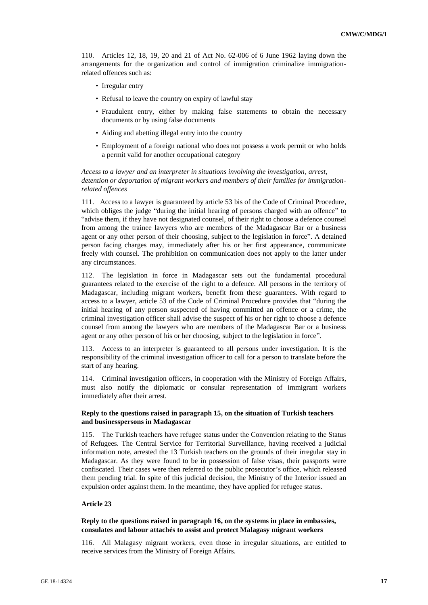110. Articles 12, 18, 19, 20 and 21 of Act No. 62-006 of 6 June 1962 laying down the arrangements for the organization and control of immigration criminalize immigrationrelated offences such as:

- Irregular entry
- Refusal to leave the country on expiry of lawful stay
- Fraudulent entry, either by making false statements to obtain the necessary documents or by using false documents
- Aiding and abetting illegal entry into the country
- Employment of a foreign national who does not possess a work permit or who holds a permit valid for another occupational category

*Access to a lawyer and an interpreter in situations involving the investigation, arrest, detention or deportation of migrant workers and members of their families for immigrationrelated offences*

111. Access to a lawyer is guaranteed by article 53 bis of the Code of Criminal Procedure, which obliges the judge "during the initial hearing of persons charged with an offence" to "advise them, if they have not designated counsel, of their right to choose a defence counsel from among the trainee lawyers who are members of the Madagascar Bar or a business agent or any other person of their choosing, subject to the legislation in force". A detained person facing charges may, immediately after his or her first appearance, communicate freely with counsel. The prohibition on communication does not apply to the latter under any circumstances.

112. The legislation in force in Madagascar sets out the fundamental procedural guarantees related to the exercise of the right to a defence. All persons in the territory of Madagascar, including migrant workers, benefit from these guarantees. With regard to access to a lawyer, article 53 of the Code of Criminal Procedure provides that "during the initial hearing of any person suspected of having committed an offence or a crime, the criminal investigation officer shall advise the suspect of his or her right to choose a defence counsel from among the lawyers who are members of the Madagascar Bar or a business agent or any other person of his or her choosing, subject to the legislation in force".

113. Access to an interpreter is guaranteed to all persons under investigation. It is the responsibility of the criminal investigation officer to call for a person to translate before the start of any hearing.

114. Criminal investigation officers, in cooperation with the Ministry of Foreign Affairs, must also notify the diplomatic or consular representation of immigrant workers immediately after their arrest.

## **Reply to the questions raised in paragraph 15, on the situation of Turkish teachers and businesspersons in Madagascar**

115. The Turkish teachers have refugee status under the Convention relating to the Status of Refugees. The Central Service for Territorial Surveillance, having received a judicial information note, arrested the 13 Turkish teachers on the grounds of their irregular stay in Madagascar. As they were found to be in possession of false visas, their passports were confiscated. Their cases were then referred to the public prosecutor's office, which released them pending trial. In spite of this judicial decision, the Ministry of the Interior issued an expulsion order against them. In the meantime, they have applied for refugee status.

#### **Article 23**

## **Reply to the questions raised in paragraph 16, on the systems in place in embassies, consulates and labour attachés to assist and protect Malagasy migrant workers**

116. All Malagasy migrant workers, even those in irregular situations, are entitled to receive services from the Ministry of Foreign Affairs.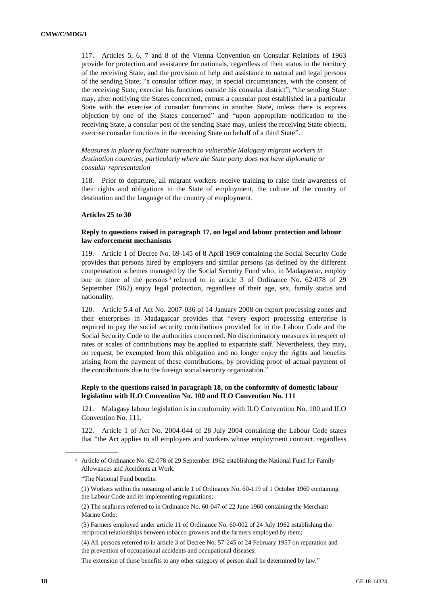117. Articles 5, 6, 7 and 8 of the Vienna Convention on Consular Relations of 1963 provide for protection and assistance for nationals, regardless of their status in the territory of the receiving State, and the provision of help and assistance to natural and legal persons of the sending State; "a consular officer may, in special circumstances, with the consent of the receiving State, exercise his functions outside his consular district"; "the sending State may, after notifying the States concerned, entrust a consular post established in a particular State with the exercise of consular functions in another State, unless there is express objection by one of the States concerned" and "upon appropriate notification to the receiving State, a consular post of the sending State may, unless the receiving State objects, exercise consular functions in the receiving State on behalf of a third State".

*Measures in place to facilitate outreach to vulnerable Malagasy migrant workers in destination countries, particularly where the State party does not have diplomatic or consular representation*

118. Prior to departure, all migrant workers receive training to raise their awareness of their rights and obligations in the State of employment, the culture of the country of destination and the language of the country of employment.

#### **Articles 25 to 30**

## **Reply to questions raised in paragraph 17, on legal and labour protection and labour law enforcement mechanisms**

119. Article 1 of Decree No. 69-145 of 8 April 1969 containing the Social Security Code provides that persons hired by employers and similar persons (as defined by the different compensation schemes managed by the Social Security Fund who, in Madagascar, employ one or more of the persons<sup>3</sup> referred to in article 3 of Ordinance No. 62-078 of 29 September 1962) enjoy legal protection, regardless of their age, sex, family status and nationality.

120. Article 5.4 of Act No. 2007-036 of 14 January 2008 on export processing zones and their enterprises in Madagascar provides that "every export processing enterprise is required to pay the social security contributions provided for in the Labour Code and the Social Security Code to the authorities concerned. No discriminatory measures in respect of rates or scales of contributions may be applied to expatriate staff. Nevertheless, they may, on request, be exempted from this obligation and no longer enjoy the rights and benefits arising from the payment of these contributions, by providing proof of actual payment of the contributions due to the foreign social security organization."

## **Reply to the questions raised in paragraph 18, on the conformity of domestic labour legislation with ILO Convention No. 100 and ILO Convention No. 111**

121. Malagasy labour legislation is in conformity with ILO Convention No. 100 and ILO Convention No. 111.

122. Article 1 of Act No. 2004-044 of 28 July 2004 containing the Labour Code states that "the Act applies to all employers and workers whose employment contract, regardless

(2) The seafarers referred to in Ordinance No. 60-047 of 22 June 1960 containing the Merchant Marine Code;

(3) Farmers employed under article 11 of Ordinance No. 60-002 of 24 July 1962 establishing the reciprocal relationships between tobacco growers and the farmers employed by them;

(4) All persons referred to in article 3 of Decree No. 57-245 of 24 February 1957 on reparation and the prevention of occupational accidents and occupational diseases.

The extension of these benefits to any other category of person shall be determined by law."

<sup>&</sup>lt;sup>3</sup> Article of Ordinance No. 62-078 of 29 September 1962 establishing the National Fund for Family Allowances and Accidents at Work:

<sup>&</sup>quot;The National Fund benefits:

<sup>(1)</sup> Workers within the meaning of article 1 of Ordinance No. 60-119 of 1 October 1960 containing the Labour Code and its implementing regulations;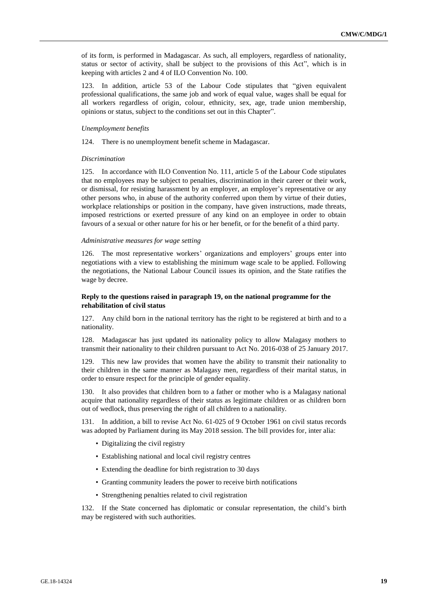of its form, is performed in Madagascar. As such, all employers, regardless of nationality, status or sector of activity, shall be subject to the provisions of this Act", which is in keeping with articles 2 and 4 of ILO Convention No. 100.

123. In addition, article 53 of the Labour Code stipulates that "given equivalent professional qualifications, the same job and work of equal value, wages shall be equal for all workers regardless of origin, colour, ethnicity, sex, age, trade union membership, opinions or status, subject to the conditions set out in this Chapter".

#### *Unemployment benefits*

124. There is no unemployment benefit scheme in Madagascar.

#### *Discrimination*

125. In accordance with ILO Convention No. 111, article 5 of the Labour Code stipulates that no employees may be subject to penalties, discrimination in their career or their work, or dismissal, for resisting harassment by an employer, an employer's representative or any other persons who, in abuse of the authority conferred upon them by virtue of their duties, workplace relationships or position in the company, have given instructions, made threats, imposed restrictions or exerted pressure of any kind on an employee in order to obtain favours of a sexual or other nature for his or her benefit, or for the benefit of a third party.

#### *Administrative measures for wage setting*

126. The most representative workers' organizations and employers' groups enter into negotiations with a view to establishing the minimum wage scale to be applied. Following the negotiations, the National Labour Council issues its opinion, and the State ratifies the wage by decree.

## **Reply to the questions raised in paragraph 19, on the national programme for the rehabilitation of civil status**

127. Any child born in the national territory has the right to be registered at birth and to a nationality.

128. Madagascar has just updated its nationality policy to allow Malagasy mothers to transmit their nationality to their children pursuant to Act No. 2016-038 of 25 January 2017.

129. This new law provides that women have the ability to transmit their nationality to their children in the same manner as Malagasy men, regardless of their marital status, in order to ensure respect for the principle of gender equality.

130. It also provides that children born to a father or mother who is a Malagasy national acquire that nationality regardless of their status as legitimate children or as children born out of wedlock, thus preserving the right of all children to a nationality.

131. In addition, a bill to revise Act No. 61-025 of 9 October 1961 on civil status records was adopted by Parliament during its May 2018 session. The bill provides for, inter alia:

- Digitalizing the civil registry
- Establishing national and local civil registry centres
- Extending the deadline for birth registration to 30 days
- Granting community leaders the power to receive birth notifications
- Strengthening penalties related to civil registration

132. If the State concerned has diplomatic or consular representation, the child's birth may be registered with such authorities.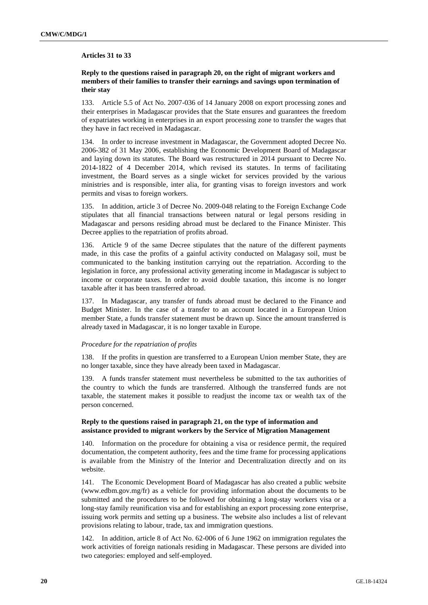### **Articles 31 to 33**

## **Reply to the questions raised in paragraph 20, on the right of migrant workers and members of their families to transfer their earnings and savings upon termination of their stay**

133. Article 5.5 of Act No. 2007-036 of 14 January 2008 on export processing zones and their enterprises in Madagascar provides that the State ensures and guarantees the freedom of expatriates working in enterprises in an export processing zone to transfer the wages that they have in fact received in Madagascar.

134. In order to increase investment in Madagascar, the Government adopted Decree No. 2006-382 of 31 May 2006, establishing the Economic Development Board of Madagascar and laying down its statutes. The Board was restructured in 2014 pursuant to Decree No. 2014-1822 of 4 December 2014, which revised its statutes. In terms of facilitating investment, the Board serves as a single wicket for services provided by the various ministries and is responsible, inter alia, for granting visas to foreign investors and work permits and visas to foreign workers.

135. In addition, article 3 of Decree No. 2009-048 relating to the Foreign Exchange Code stipulates that all financial transactions between natural or legal persons residing in Madagascar and persons residing abroad must be declared to the Finance Minister. This Decree applies to the repatriation of profits abroad.

136. Article 9 of the same Decree stipulates that the nature of the different payments made, in this case the profits of a gainful activity conducted on Malagasy soil, must be communicated to the banking institution carrying out the repatriation. According to the legislation in force, any professional activity generating income in Madagascar is subject to income or corporate taxes. In order to avoid double taxation, this income is no longer taxable after it has been transferred abroad.

137. In Madagascar, any transfer of funds abroad must be declared to the Finance and Budget Minister. In the case of a transfer to an account located in a European Union member State, a funds transfer statement must be drawn up. Since the amount transferred is already taxed in Madagascar, it is no longer taxable in Europe.

#### *Procedure for the repatriation of profits*

138. If the profits in question are transferred to a European Union member State, they are no longer taxable, since they have already been taxed in Madagascar.

139. A funds transfer statement must nevertheless be submitted to the tax authorities of the country to which the funds are transferred. Although the transferred funds are not taxable, the statement makes it possible to readjust the income tax or wealth tax of the person concerned.

## **Reply to the questions raised in paragraph 21, on the type of information and assistance provided to migrant workers by the Service of Migration Management**

140. Information on the procedure for obtaining a visa or residence permit, the required documentation, the competent authority, fees and the time frame for processing applications is available from the Ministry of the Interior and Decentralization directly and on its website.

141. The Economic Development Board of Madagascar has also created a public website (www.edbm.gov.mg/fr) as a vehicle for providing information about the documents to be submitted and the procedures to be followed for obtaining a long-stay workers visa or a long-stay family reunification visa and for establishing an export processing zone enterprise, issuing work permits and setting up a business. The website also includes a list of relevant provisions relating to labour, trade, tax and immigration questions.

142. In addition, article 8 of Act No. 62-006 of 6 June 1962 on immigration regulates the work activities of foreign nationals residing in Madagascar. These persons are divided into two categories: employed and self-employed.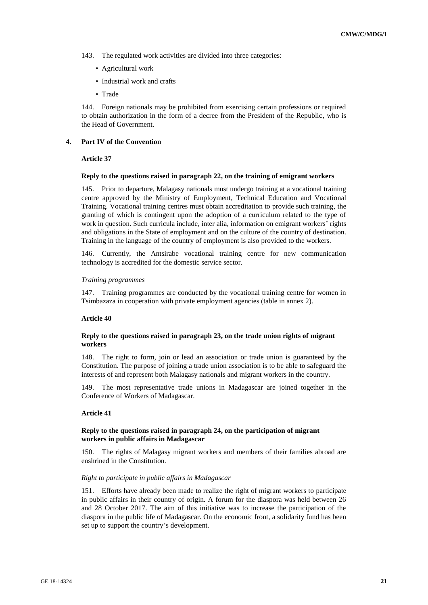- 143. The regulated work activities are divided into three categories:
	- Agricultural work
	- Industrial work and crafts
	- Trade

144. Foreign nationals may be prohibited from exercising certain professions or required to obtain authorization in the form of a decree from the President of the Republic, who is the Head of Government.

## **4. Part IV of the Convention**

## **Article 37**

## **Reply to the questions raised in paragraph 22, on the training of emigrant workers**

145. Prior to departure, Malagasy nationals must undergo training at a vocational training centre approved by the Ministry of Employment, Technical Education and Vocational Training. Vocational training centres must obtain accreditation to provide such training, the granting of which is contingent upon the adoption of a curriculum related to the type of work in question. Such curricula include, inter alia, information on emigrant workers' rights and obligations in the State of employment and on the culture of the country of destination. Training in the language of the country of employment is also provided to the workers.

146. Currently, the Antsirabe vocational training centre for new communication technology is accredited for the domestic service sector.

## *Training programmes*

147. Training programmes are conducted by the vocational training centre for women in Tsimbazaza in cooperation with private employment agencies (table in annex 2).

#### **Article 40**

## **Reply to the questions raised in paragraph 23, on the trade union rights of migrant workers**

148. The right to form, join or lead an association or trade union is guaranteed by the Constitution. The purpose of joining a trade union association is to be able to safeguard the interests of and represent both Malagasy nationals and migrant workers in the country.

149. The most representative trade unions in Madagascar are joined together in the Conference of Workers of Madagascar.

## **Article 41**

## **Reply to the questions raised in paragraph 24, on the participation of migrant workers in public affairs in Madagascar**

150. The rights of Malagasy migrant workers and members of their families abroad are enshrined in the Constitution.

#### *Right to participate in public affairs in Madagascar*

151. Efforts have already been made to realize the right of migrant workers to participate in public affairs in their country of origin. A forum for the diaspora was held between 26 and 28 October 2017. The aim of this initiative was to increase the participation of the diaspora in the public life of Madagascar. On the economic front, a solidarity fund has been set up to support the country's development.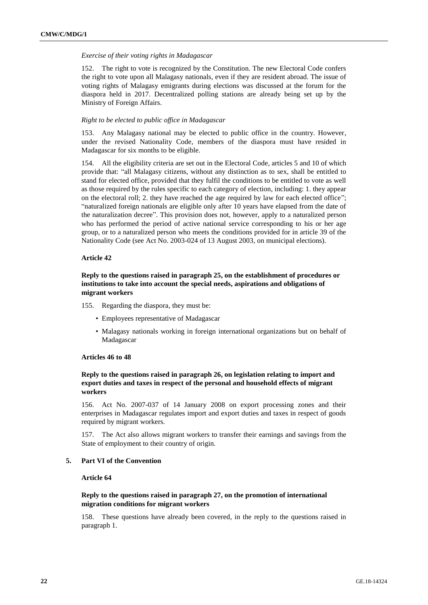#### *Exercise of their voting rights in Madagascar*

152. The right to vote is recognized by the Constitution. The new Electoral Code confers the right to vote upon all Malagasy nationals, even if they are resident abroad. The issue of voting rights of Malagasy emigrants during elections was discussed at the forum for the diaspora held in 2017. Decentralized polling stations are already being set up by the Ministry of Foreign Affairs.

#### *Right to be elected to public office in Madagascar*

153. Any Malagasy national may be elected to public office in the country. However, under the revised Nationality Code, members of the diaspora must have resided in Madagascar for six months to be eligible.

154. All the eligibility criteria are set out in the Electoral Code, articles 5 and 10 of which provide that: "all Malagasy citizens, without any distinction as to sex, shall be entitled to stand for elected office, provided that they fulfil the conditions to be entitled to vote as well as those required by the rules specific to each category of election, including: 1. they appear on the electoral roll; 2. they have reached the age required by law for each elected office"; "naturalized foreign nationals are eligible only after 10 years have elapsed from the date of the naturalization decree". This provision does not, however, apply to a naturalized person who has performed the period of active national service corresponding to his or her age group, or to a naturalized person who meets the conditions provided for in article 39 of the Nationality Code (see Act No. 2003-024 of 13 August 2003, on municipal elections).

#### **Article 42**

## **Reply to the questions raised in paragraph 25, on the establishment of procedures or institutions to take into account the special needs, aspirations and obligations of migrant workers**

- 155. Regarding the diaspora, they must be:
	- Employees representative of Madagascar
	- Malagasy nationals working in foreign international organizations but on behalf of Madagascar

#### **Articles 46 to 48**

## **Reply to the questions raised in paragraph 26, on legislation relating to import and export duties and taxes in respect of the personal and household effects of migrant workers**

156. Act No. 2007-037 of 14 January 2008 on export processing zones and their enterprises in Madagascar regulates import and export duties and taxes in respect of goods required by migrant workers.

157. The Act also allows migrant workers to transfer their earnings and savings from the State of employment to their country of origin.

## **5. Part VI of the Convention**

## **Article 64**

## **Reply to the questions raised in paragraph 27, on the promotion of international migration conditions for migrant workers**

158. These questions have already been covered, in the reply to the questions raised in paragraph 1.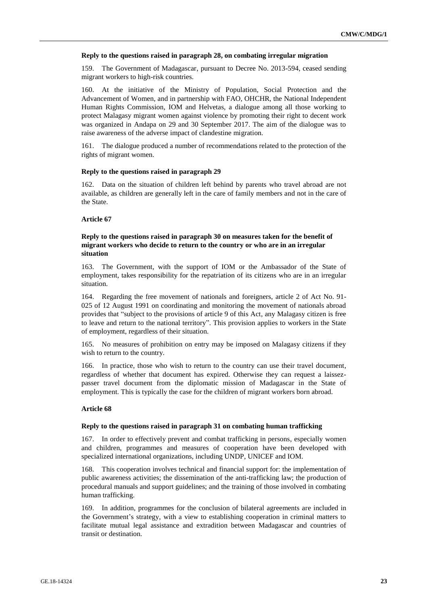#### **Reply to the questions raised in paragraph 28, on combating irregular migration**

159. The Government of Madagascar, pursuant to Decree No. 2013-594, ceased sending migrant workers to high-risk countries.

160. At the initiative of the Ministry of Population, Social Protection and the Advancement of Women, and in partnership with FAO, OHCHR, the National Independent Human Rights Commission, IOM and Helvetas, a dialogue among all those working to protect Malagasy migrant women against violence by promoting their right to decent work was organized in Andapa on 29 and 30 September 2017. The aim of the dialogue was to raise awareness of the adverse impact of clandestine migration.

161. The dialogue produced a number of recommendations related to the protection of the rights of migrant women.

## **Reply to the questions raised in paragraph 29**

162. Data on the situation of children left behind by parents who travel abroad are not available, as children are generally left in the care of family members and not in the care of the State.

## **Article 67**

## **Reply to the questions raised in paragraph 30 on measures taken for the benefit of migrant workers who decide to return to the country or who are in an irregular situation**

163. The Government, with the support of IOM or the Ambassador of the State of employment, takes responsibility for the repatriation of its citizens who are in an irregular situation.

164. Regarding the free movement of nationals and foreigners, article 2 of Act No. 91- 025 of 12 August 1991 on coordinating and monitoring the movement of nationals abroad provides that "subject to the provisions of article 9 of this Act, any Malagasy citizen is free to leave and return to the national territory". This provision applies to workers in the State of employment, regardless of their situation.

165. No measures of prohibition on entry may be imposed on Malagasy citizens if they wish to return to the country.

166. In practice, those who wish to return to the country can use their travel document, regardless of whether that document has expired. Otherwise they can request a laissezpasser travel document from the diplomatic mission of Madagascar in the State of employment. This is typically the case for the children of migrant workers born abroad.

#### **Article 68**

#### **Reply to the questions raised in paragraph 31 on combating human trafficking**

167. In order to effectively prevent and combat trafficking in persons, especially women and children, programmes and measures of cooperation have been developed with specialized international organizations, including UNDP, UNICEF and IOM.

168. This cooperation involves technical and financial support for: the implementation of public awareness activities; the dissemination of the anti-trafficking law; the production of procedural manuals and support guidelines; and the training of those involved in combating human trafficking.

169. In addition, programmes for the conclusion of bilateral agreements are included in the Government's strategy, with a view to establishing cooperation in criminal matters to facilitate mutual legal assistance and extradition between Madagascar and countries of transit or destination.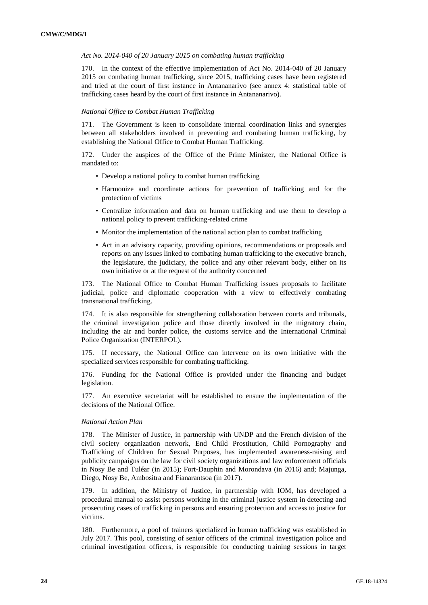#### *Act No. 2014-040 of 20 January 2015 on combating human trafficking*

170. In the context of the effective implementation of Act No. 2014-040 of 20 January 2015 on combating human trafficking, since 2015, trafficking cases have been registered and tried at the court of first instance in Antananarivo (see annex 4: statistical table of trafficking cases heard by the court of first instance in Antananarivo).

#### *National Office to Combat Human Trafficking*

171. The Government is keen to consolidate internal coordination links and synergies between all stakeholders involved in preventing and combating human trafficking, by establishing the National Office to Combat Human Trafficking.

172. Under the auspices of the Office of the Prime Minister, the National Office is mandated to:

- Develop a national policy to combat human trafficking
- Harmonize and coordinate actions for prevention of trafficking and for the protection of victims
- Centralize information and data on human trafficking and use them to develop a national policy to prevent trafficking-related crime
- Monitor the implementation of the national action plan to combat trafficking
- Act in an advisory capacity, providing opinions, recommendations or proposals and reports on any issues linked to combating human trafficking to the executive branch, the legislature, the judiciary, the police and any other relevant body, either on its own initiative or at the request of the authority concerned

173. The National Office to Combat Human Trafficking issues proposals to facilitate judicial, police and diplomatic cooperation with a view to effectively combating transnational trafficking.

174. It is also responsible for strengthening collaboration between courts and tribunals, the criminal investigation police and those directly involved in the migratory chain, including the air and border police, the customs service and the International Criminal Police Organization (INTERPOL).

175. If necessary, the National Office can intervene on its own initiative with the specialized services responsible for combating trafficking.

176. Funding for the National Office is provided under the financing and budget legislation.

177. An executive secretariat will be established to ensure the implementation of the decisions of the National Office.

## *National Action Plan*

178. The Minister of Justice, in partnership with UNDP and the French division of the civil society organization network, End Child Prostitution, Child Pornography and Trafficking of Children for Sexual Purposes, has implemented awareness-raising and publicity campaigns on the law for civil society organizations and law enforcement officials in Nosy Be and Tuléar (in 2015); Fort-Dauphin and Morondava (in 2016) and; Majunga, Diego, Nosy Be, Ambositra and Fianarantsoa (in 2017).

179. In addition, the Ministry of Justice, in partnership with IOM, has developed a procedural manual to assist persons working in the criminal justice system in detecting and prosecuting cases of trafficking in persons and ensuring protection and access to justice for victims.

180. Furthermore, a pool of trainers specialized in human trafficking was established in July 2017. This pool, consisting of senior officers of the criminal investigation police and criminal investigation officers, is responsible for conducting training sessions in target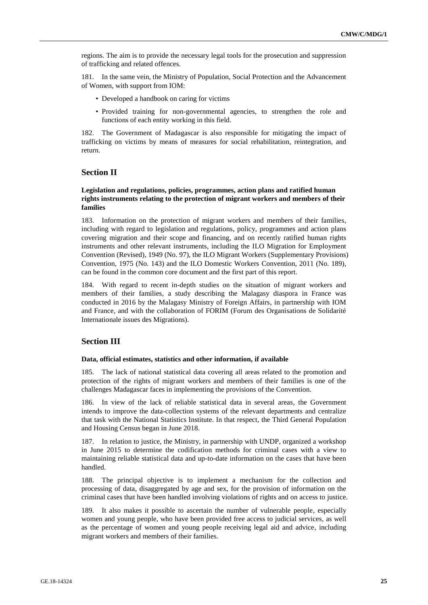regions. The aim is to provide the necessary legal tools for the prosecution and suppression of trafficking and related offences.

181. In the same vein, the Ministry of Population, Social Protection and the Advancement of Women, with support from IOM:

- Developed a handbook on caring for victims
- Provided training for non-governmental agencies, to strengthen the role and functions of each entity working in this field.

182. The Government of Madagascar is also responsible for mitigating the impact of trafficking on victims by means of measures for social rehabilitation, reintegration, and return.

## **Section II**

## **Legislation and regulations, policies, programmes, action plans and ratified human rights instruments relating to the protection of migrant workers and members of their families**

183. Information on the protection of migrant workers and members of their families, including with regard to legislation and regulations, policy, programmes and action plans covering migration and their scope and financing, and on recently ratified human rights instruments and other relevant instruments, including the ILO Migration for Employment Convention (Revised), 1949 (No. 97), the ILO Migrant Workers (Supplementary Provisions) Convention, 1975 (No. 143) and the ILO Domestic Workers Convention, 2011 (No. 189), can be found in the common core document and the first part of this report.

184. With regard to recent in-depth studies on the situation of migrant workers and members of their families, a study describing the Malagasy diaspora in France was conducted in 2016 by the Malagasy Ministry of Foreign Affairs, in partnership with IOM and France, and with the collaboration of FORIM (Forum des Organisations de Solidarité Internationale issues des Migrations).

## **Section III**

#### **Data, official estimates, statistics and other information, if available**

185. The lack of national statistical data covering all areas related to the promotion and protection of the rights of migrant workers and members of their families is one of the challenges Madagascar faces in implementing the provisions of the Convention.

186. In view of the lack of reliable statistical data in several areas, the Government intends to improve the data-collection systems of the relevant departments and centralize that task with the National Statistics Institute. In that respect, the Third General Population and Housing Census began in June 2018.

187. In relation to justice, the Ministry, in partnership with UNDP, organized a workshop in June 2015 to determine the codification methods for criminal cases with a view to maintaining reliable statistical data and up-to-date information on the cases that have been handled.

188. The principal objective is to implement a mechanism for the collection and processing of data, disaggregated by age and sex, for the provision of information on the criminal cases that have been handled involving violations of rights and on access to justice.

189. It also makes it possible to ascertain the number of vulnerable people, especially women and young people, who have been provided free access to judicial services, as well as the percentage of women and young people receiving legal aid and advice, including migrant workers and members of their families.